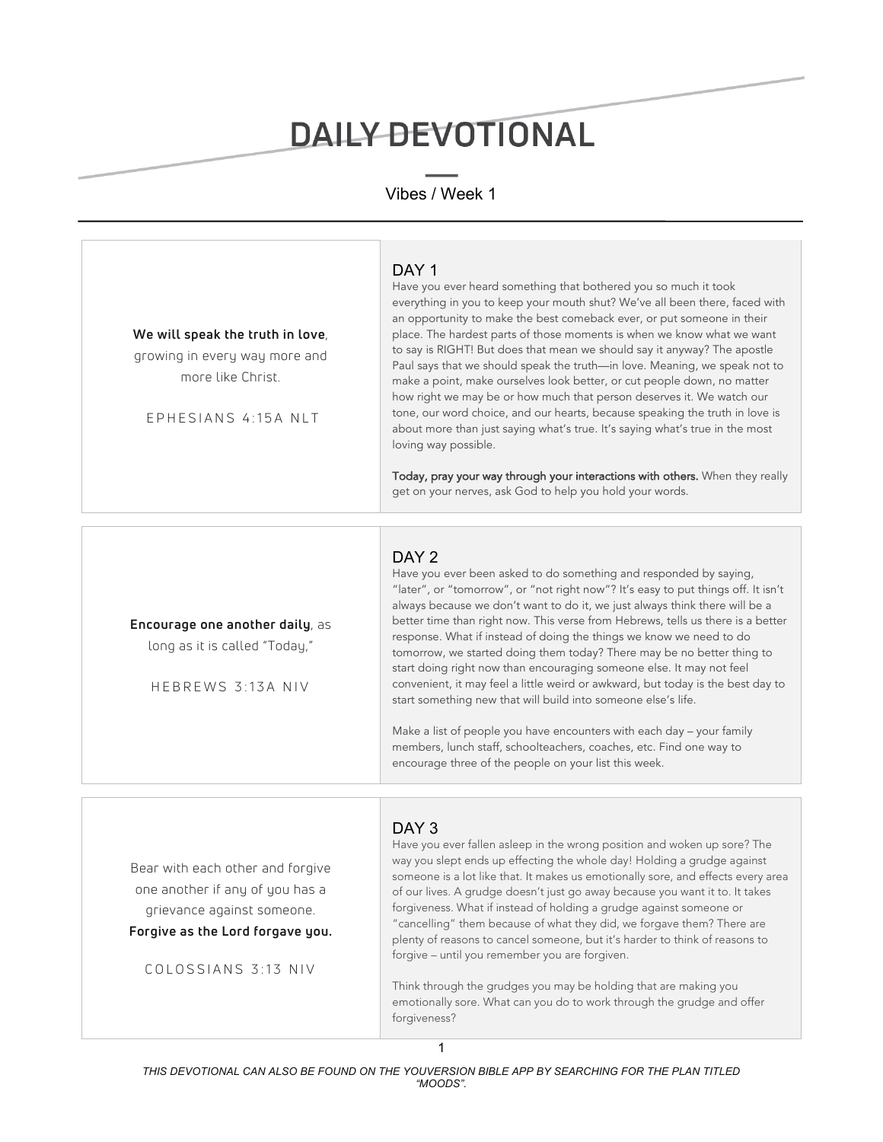# DAILY DEVOTIONAL

# Vibes / Week 1



Bear with each other and forgive one another if any of you has a grievance against someone.

#### **Forgive as the Lord forgave you.**

COLOSSIANS 3:13 NIV

### DAY<sub>3</sub>

Have you ever fallen asleep in the wrong position and woken up sore? The way you slept ends up effecting the whole day! Holding a grudge against someone is a lot like that. It makes us emotionally sore, and effects every area of our lives. A grudge doesn't just go away because you want it to. It takes forgiveness. What if instead of holding a grudge against someone or "cancelling" them because of what they did, we forgave them? There are plenty of reasons to cancel someone, but it's harder to think of reasons to forgive – until you remember you are forgiven.

Think through the grudges you may be holding that are making you emotionally sore. What can you do to work through the grudge and offer forgiveness?

1